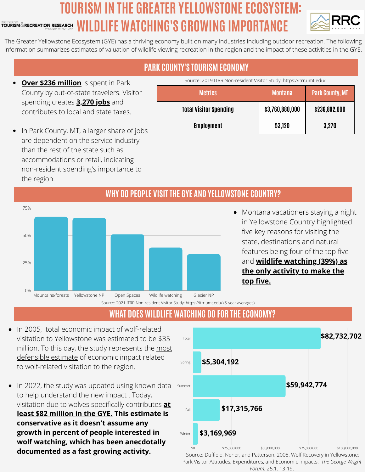## **TOURISM IN THE GREATER YELLOWSTONEECOSYSTEM: WILDLIFE WATCHING'S GROWING IMPORTANCE TOURISM & RECREATION RESEARCH**



The Greater Yellowstone Ecosystem (GYE) has a thriving economy built on many industries including outdoor recreation. The following information summarizes estimates of valuation of wildlife viewing recreation in the region and the impact of these activities in the GYE.

# **PARK COUNTY'S TOURISM ECONOMY**

Source: 2019 ITRR Non-resident Visitor Study: https://itrr.umt.edu/

| <b>Metrics</b>                | <b>Montana</b>  | <b>Park County, MT</b> |
|-------------------------------|-----------------|------------------------|
| <b>Total Visitor Spending</b> | \$3,760,880,000 | \$236,892,000          |
| <b>Employment</b>             | 53,120          | 3,270                  |

In Park County, MT, a larger share of jobs are dependent on the service industry than the rest of the state such as accommodations or retail, indicating non-resident spending's importance to the region.

**Over \$236 million** is spent in Park County by out-of-state travelers. Visitor

spending creates **3,270 jobs** and contributes to local and state taxes.



- **WHY DO PEOPLE VISIT THE GYE AND YELLOWSTONE COUNTRY?**
	- Montana vacationers staying a night in Yellowstone Country highlighted five key reasons for visiting the state, destinations and natural features being four of the top five and **wildlife watching (39%) as the only activity to make the top five.**

**WHAT DOES WILDLIFE WATCHING DO FOR THE ECONOMY?**

- $\bullet$ In 2005, total economic impact of wolf-related visitation to Yellowstone was estimated to be \$35 million. To this day, the study represents the most defensible estimate of economic impact related to wolf-related visitation to the region.
- In 2022, the study was updated using known data to help understand the new impact . Today, visitation due to wolves specifically contributes **at least \$82 million in the GYE. This estimate is conservative as it doesn't assume any growth in percent of people interested in wolf watching, which has been anecdotally documented as a fast growing activity.**



*Forum.* 25:1. 13-19.